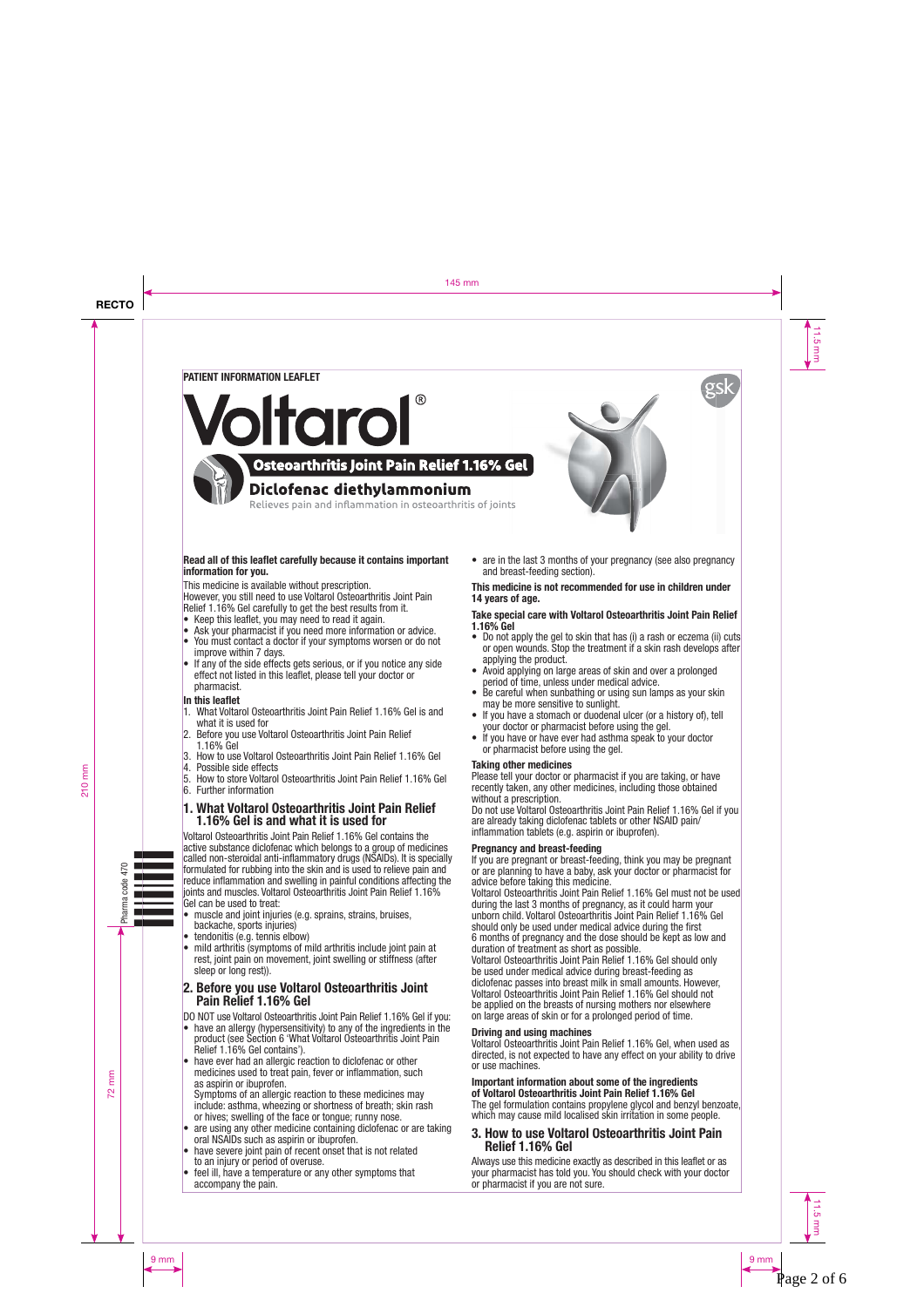

# Page 2 of 6